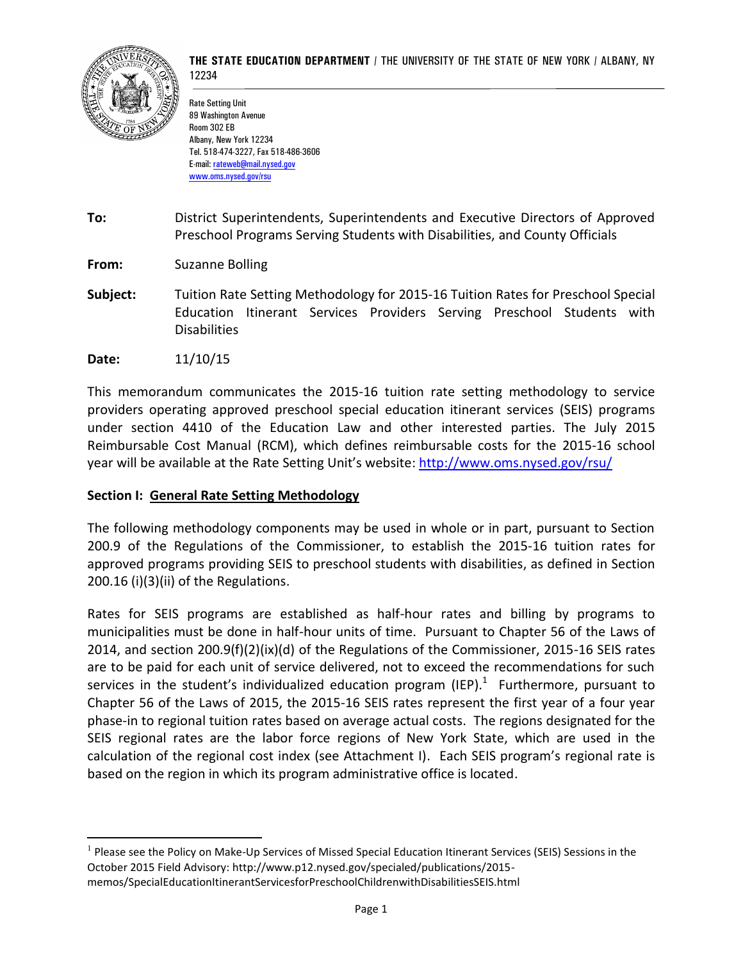

Rate Setting Unit 89 Washington Avenue Room 302 EB Albany, New York 12234 Tel. 518-474-3227, Fax 518-486-3606 E-mail: [rateweb@mail.nysed.gov](mailto:rateweb@mail.nysed.gov) [www.oms.nysed.gov/rsu](http://www.oms.nysed.gov/rsu)

**To:** District Superintendents, Superintendents and Executive Directors of Approved Preschool Programs Serving Students with Disabilities, and County Officials

**From:** Suzanne Bolling

**Subject:** Tuition Rate Setting Methodology for 2015-16 Tuition Rates for Preschool Special Education Itinerant Services Providers Serving Preschool Students with Disabilities

**Date:** 11/10/15

 $\overline{a}$ 

This memorandum communicates the 2015-16 tuition rate setting methodology to service providers operating approved preschool special education itinerant services (SEIS) programs under section 4410 of the Education Law and other interested parties. The July 2015 Reimbursable Cost Manual (RCM), which defines reimbursable costs for the 2015-16 school year will be available at the Rate Setting Unit's website: <http://www.oms.nysed.gov/rsu/>

#### **Section I: General Rate Setting Methodology**

The following methodology components may be used in whole or in part, pursuant to Section 200.9 of the Regulations of the Commissioner, to establish the 2015-16 tuition rates for approved programs providing SEIS to preschool students with disabilities, as defined in Section 200.16 (i)(3)(ii) of the Regulations.

Rates for SEIS programs are established as half-hour rates and billing by programs to municipalities must be done in half-hour units of time. Pursuant to Chapter 56 of the Laws of 2014, and section 200.9(f)(2)(ix)(d) of the Regulations of the Commissioner, 2015-16 SEIS rates are to be paid for each unit of service delivered, not to exceed the recommendations for such services in the student's individualized education program (IEP).<sup>1</sup> Furthermore, pursuant to Chapter 56 of the Laws of 2015, the 2015-16 SEIS rates represent the first year of a four year phase-in to regional tuition rates based on average actual costs. The regions designated for the SEIS regional rates are the labor force regions of New York State, which are used in the calculation of the regional cost index (see Attachment I). Each SEIS program's regional rate is based on the region in which its program administrative office is located.

 $<sup>1</sup>$  Please see the Policy on Make-Up Services of Missed Special Education Itinerant Services (SEIS) Sessions in the</sup> October 2015 Field Advisory: http://www.p12.nysed.gov/specialed/publications/2015 memos/SpecialEducationItinerantServicesforPreschoolChildrenwithDisabilitiesSEIS.html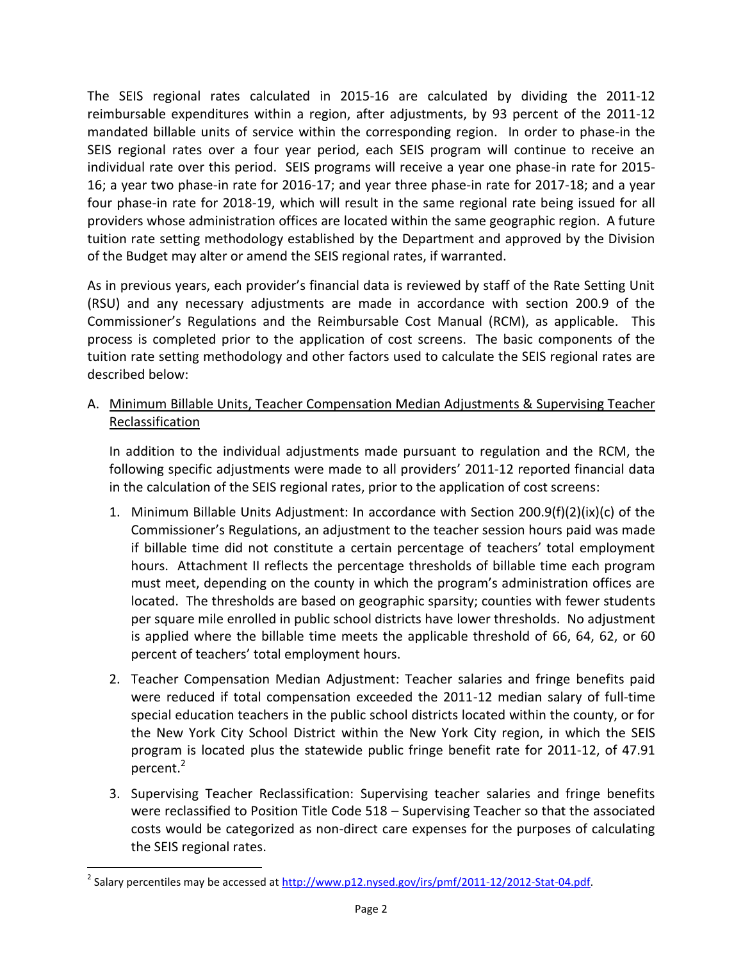The SEIS regional rates calculated in 2015-16 are calculated by dividing the 2011-12 reimbursable expenditures within a region, after adjustments, by 93 percent of the 2011-12 mandated billable units of service within the corresponding region. In order to phase-in the SEIS regional rates over a four year period, each SEIS program will continue to receive an individual rate over this period. SEIS programs will receive a year one phase-in rate for 2015- 16; a year two phase-in rate for 2016-17; and year three phase-in rate for 2017-18; and a year four phase-in rate for 2018-19, which will result in the same regional rate being issued for all providers whose administration offices are located within the same geographic region. A future tuition rate setting methodology established by the Department and approved by the Division of the Budget may alter or amend the SEIS regional rates, if warranted.

As in previous years, each provider's financial data is reviewed by staff of the Rate Setting Unit (RSU) and any necessary adjustments are made in accordance with section 200.9 of the Commissioner's Regulations and the Reimbursable Cost Manual (RCM), as applicable. This process is completed prior to the application of cost screens. The basic components of the tuition rate setting methodology and other factors used to calculate the SEIS regional rates are described below:

A. Minimum Billable Units, Teacher Compensation Median Adjustments & Supervising Teacher Reclassification

In addition to the individual adjustments made pursuant to regulation and the RCM, the following specific adjustments were made to all providers' 2011-12 reported financial data in the calculation of the SEIS regional rates, prior to the application of cost screens:

- 1. Minimum Billable Units Adjustment: In accordance with Section 200.9(f)(2)(ix)(c) of the Commissioner's Regulations, an adjustment to the teacher session hours paid was made if billable time did not constitute a certain percentage of teachers' total employment hours. Attachment II reflects the percentage thresholds of billable time each program must meet, depending on the county in which the program's administration offices are located. The thresholds are based on geographic sparsity; counties with fewer students per square mile enrolled in public school districts have lower thresholds. No adjustment is applied where the billable time meets the applicable threshold of 66, 64, 62, or 60 percent of teachers' total employment hours.
- 2. Teacher Compensation Median Adjustment: Teacher salaries and fringe benefits paid were reduced if total compensation exceeded the 2011-12 median salary of full-time special education teachers in the public school districts located within the county, or for the New York City School District within the New York City region, in which the SEIS program is located plus the statewide public fringe benefit rate for 2011-12, of 47.91 percent. 2
- 3. Supervising Teacher Reclassification: Supervising teacher salaries and fringe benefits were reclassified to Position Title Code 518 – Supervising Teacher so that the associated costs would be categorized as non-direct care expenses for the purposes of calculating the SEIS regional rates.

 $\overline{a}$ 

<sup>&</sup>lt;sup>2</sup> Salary percentiles may be accessed a[t http://www.p12.nysed.gov/irs/pmf/2011-12/2012-Stat-04.pdf.](http://www.p12.nysed.gov/irs/pmf/2011-12/2012-Stat-04.pdf)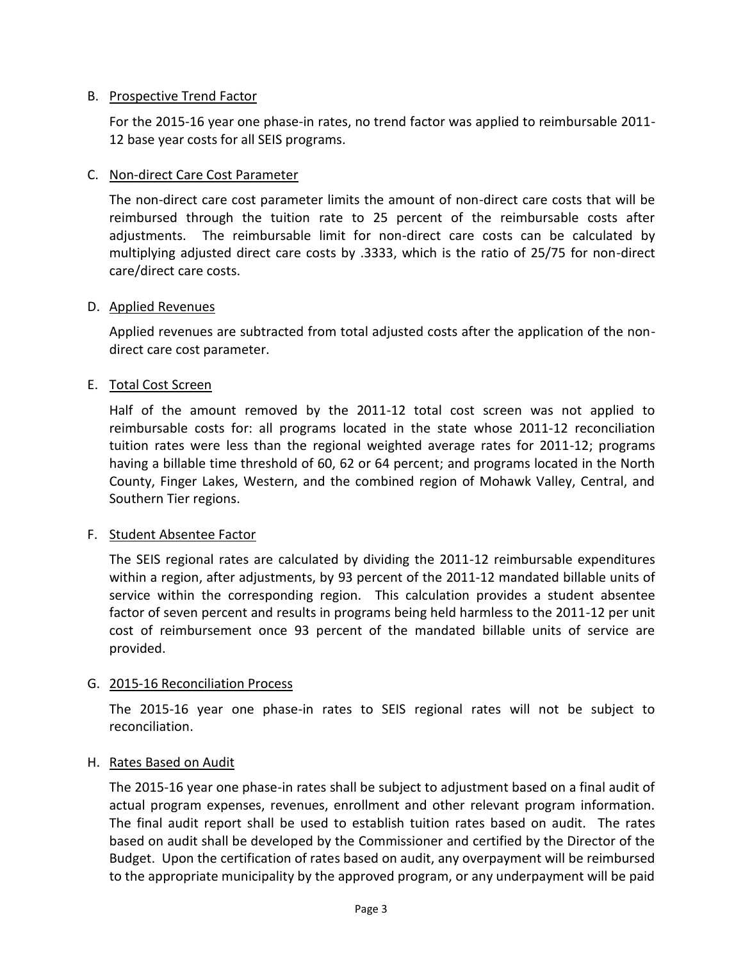# B. Prospective Trend Factor

For the 2015-16 year one phase-in rates, no trend factor was applied to reimbursable 2011- 12 base year costs for all SEIS programs.

# C. Non-direct Care Cost Parameter

The non-direct care cost parameter limits the amount of non-direct care costs that will be reimbursed through the tuition rate to 25 percent of the reimbursable costs after adjustments. The reimbursable limit for non-direct care costs can be calculated by multiplying adjusted direct care costs by .3333, which is the ratio of 25/75 for non-direct care/direct care costs.

#### D. Applied Revenues

Applied revenues are subtracted from total adjusted costs after the application of the nondirect care cost parameter.

# E. Total Cost Screen

Half of the amount removed by the 2011-12 total cost screen was not applied to reimbursable costs for: all programs located in the state whose 2011-12 reconciliation tuition rates were less than the regional weighted average rates for 2011-12; programs having a billable time threshold of 60, 62 or 64 percent; and programs located in the North County, Finger Lakes, Western, and the combined region of Mohawk Valley, Central, and Southern Tier regions.

#### F. Student Absentee Factor

The SEIS regional rates are calculated by dividing the 2011-12 reimbursable expenditures within a region, after adjustments, by 93 percent of the 2011-12 mandated billable units of service within the corresponding region. This calculation provides a student absentee factor of seven percent and results in programs being held harmless to the 2011-12 per unit cost of reimbursement once 93 percent of the mandated billable units of service are provided.

#### G. 2015-16 Reconciliation Process

The 2015-16 year one phase-in rates to SEIS regional rates will not be subject to reconciliation.

#### H. Rates Based on Audit

The 2015-16 year one phase-in rates shall be subject to adjustment based on a final audit of actual program expenses, revenues, enrollment and other relevant program information. The final audit report shall be used to establish tuition rates based on audit. The rates based on audit shall be developed by the Commissioner and certified by the Director of the Budget. Upon the certification of rates based on audit, any overpayment will be reimbursed to the appropriate municipality by the approved program, or any underpayment will be paid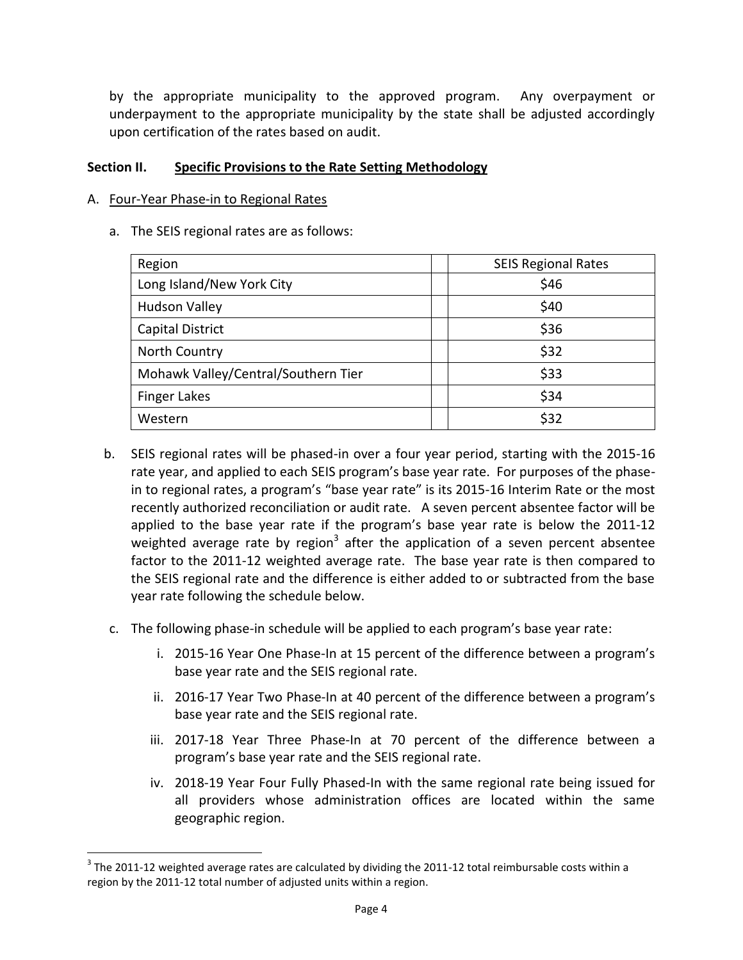by the appropriate municipality to the approved program. Any overpayment or underpayment to the appropriate municipality by the state shall be adjusted accordingly upon certification of the rates based on audit.

#### **Section II. Specific Provisions to the Rate Setting Methodology**

#### A. Four-Year Phase-in to Regional Rates

 $\overline{a}$ 

a. The SEIS regional rates are as follows:

| Region                              | <b>SEIS Regional Rates</b> |  |  |
|-------------------------------------|----------------------------|--|--|
| Long Island/New York City           | \$46                       |  |  |
| <b>Hudson Valley</b>                | \$40                       |  |  |
| <b>Capital District</b>             | \$36                       |  |  |
| North Country                       | \$32                       |  |  |
| Mohawk Valley/Central/Southern Tier | \$33                       |  |  |
| <b>Finger Lakes</b>                 | \$34                       |  |  |
| Western                             | \$32                       |  |  |

- b. SEIS regional rates will be phased-in over a four year period, starting with the 2015-16 rate year, and applied to each SEIS program's base year rate. For purposes of the phasein to regional rates, a program's "base year rate" is its 2015-16 Interim Rate or the most recently authorized reconciliation or audit rate. A seven percent absentee factor will be applied to the base year rate if the program's base year rate is below the 2011-12 weighted average rate by region<sup>3</sup> after the application of a seven percent absentee factor to the 2011-12 weighted average rate. The base year rate is then compared to the SEIS regional rate and the difference is either added to or subtracted from the base year rate following the schedule below.
- c. The following phase-in schedule will be applied to each program's base year rate:
	- i. 2015-16 Year One Phase-In at 15 percent of the difference between a program's base year rate and the SEIS regional rate.
	- ii. 2016-17 Year Two Phase-In at 40 percent of the difference between a program's base year rate and the SEIS regional rate.
	- iii. 2017-18 Year Three Phase-In at 70 percent of the difference between a program's base year rate and the SEIS regional rate.
	- iv. 2018-19 Year Four Fully Phased-In with the same regional rate being issued for all providers whose administration offices are located within the same geographic region.

 $^3$  The 2011-12 weighted average rates are calculated by dividing the 2011-12 total reimbursable costs within a region by the 2011-12 total number of adjusted units within a region.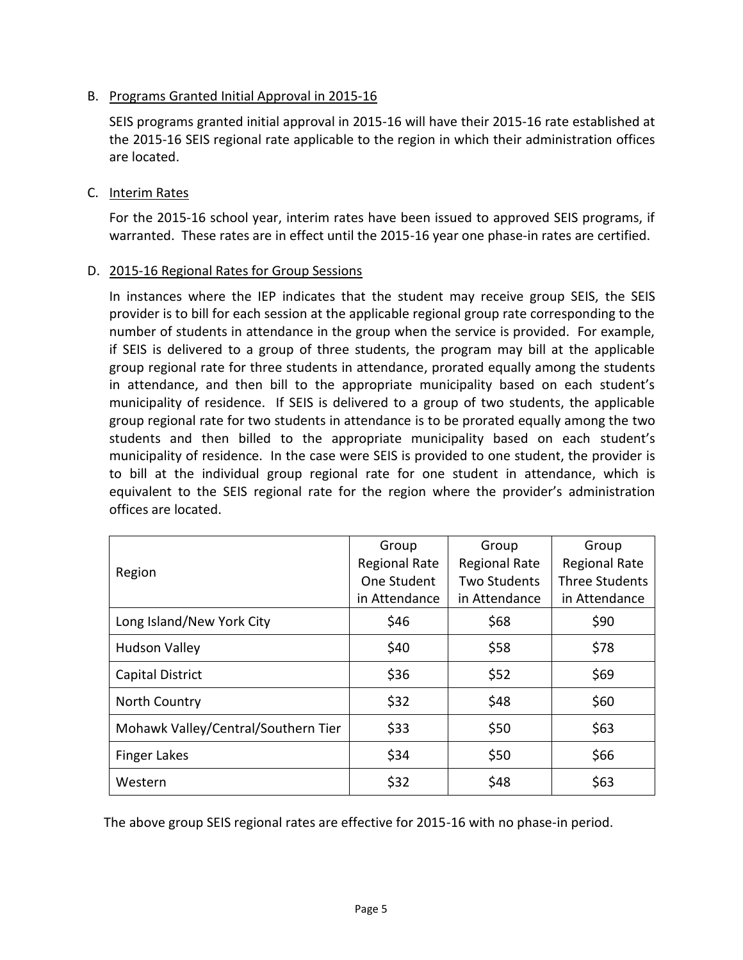# B. Programs Granted Initial Approval in 2015-16

SEIS programs granted initial approval in 2015-16 will have their 2015-16 rate established at the 2015-16 SEIS regional rate applicable to the region in which their administration offices are located.

# C. Interim Rates

For the 2015-16 school year, interim rates have been issued to approved SEIS programs, if warranted. These rates are in effect until the 2015-16 year one phase-in rates are certified.

# D. 2015-16 Regional Rates for Group Sessions

In instances where the IEP indicates that the student may receive group SEIS, the SEIS provider is to bill for each session at the applicable regional group rate corresponding to the number of students in attendance in the group when the service is provided. For example, if SEIS is delivered to a group of three students, the program may bill at the applicable group regional rate for three students in attendance, prorated equally among the students in attendance, and then bill to the appropriate municipality based on each student's municipality of residence. If SEIS is delivered to a group of two students, the applicable group regional rate for two students in attendance is to be prorated equally among the two students and then billed to the appropriate municipality based on each student's municipality of residence. In the case were SEIS is provided to one student, the provider is to bill at the individual group regional rate for one student in attendance, which is equivalent to the SEIS regional rate for the region where the provider's administration offices are located.

|                                     | Group                | Group                | Group                |
|-------------------------------------|----------------------|----------------------|----------------------|
| Region                              | <b>Regional Rate</b> | <b>Regional Rate</b> | <b>Regional Rate</b> |
|                                     | One Student          | Two Students         | Three Students       |
|                                     | in Attendance        | in Attendance        | in Attendance        |
| Long Island/New York City           | \$46                 | \$68                 | \$90                 |
| <b>Hudson Valley</b>                | \$40                 | \$58                 | \$78                 |
| <b>Capital District</b>             | \$36                 | \$52                 | \$69                 |
| North Country                       | \$32                 | \$48                 | \$60                 |
| Mohawk Valley/Central/Southern Tier | \$33                 | \$50                 | \$63                 |
| <b>Finger Lakes</b>                 | \$34                 | \$50                 | \$66                 |
| Western                             | \$32                 | \$48                 | \$63                 |

The above group SEIS regional rates are effective for 2015-16 with no phase-in period.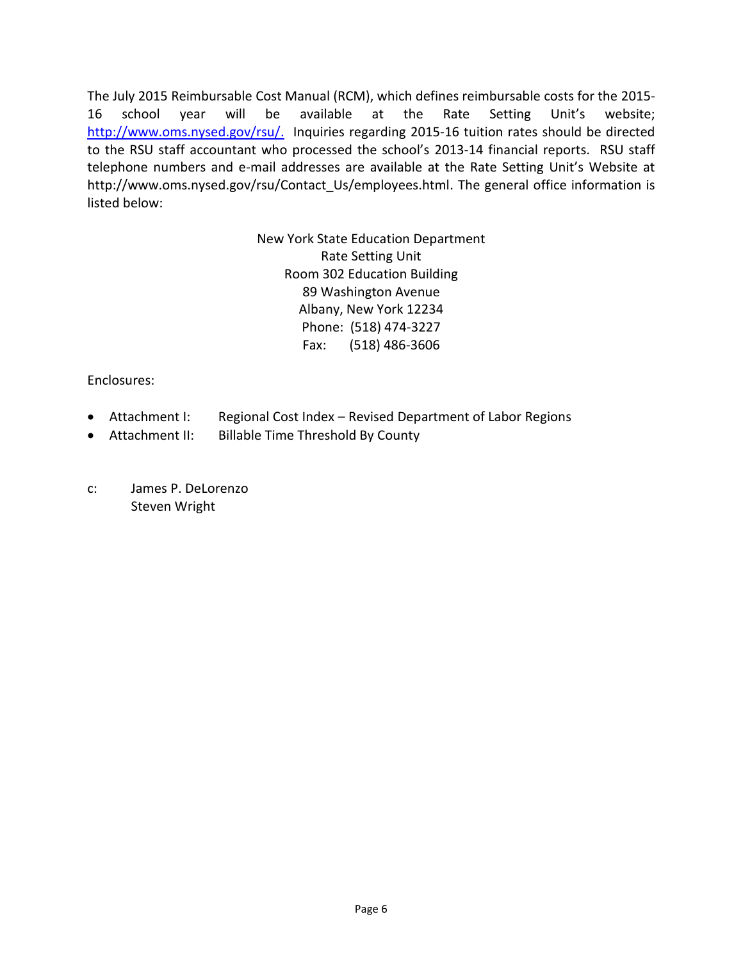The July 2015 Reimbursable Cost Manual (RCM), which defines reimbursable costs for the 2015- 16 school year will be available at the Rate Setting Unit's website; [http://www.oms.nysed.gov/rsu/.](http://www.oms.nysed.gov/rsu/) Inquiries regarding 2015-16 tuition rates should be directed to the RSU staff accountant who processed the school's 2013-14 financial reports. RSU staff telephone numbers and e-mail addresses are available at the Rate Setting Unit's Website at http://www.oms.nysed.gov/rsu/Contact Us/employees.html. The general office information is listed below:

> New York State Education Department Rate Setting Unit Room 302 Education Building 89 Washington Avenue Albany, New York 12234 Phone: (518) 474-3227 Fax: (518) 486-3606

Enclosures:

- Attachment I: Regional Cost Index Revised Department of Labor Regions
- Attachment II: Billable Time Threshold By County
- c: James P. DeLorenzo Steven Wright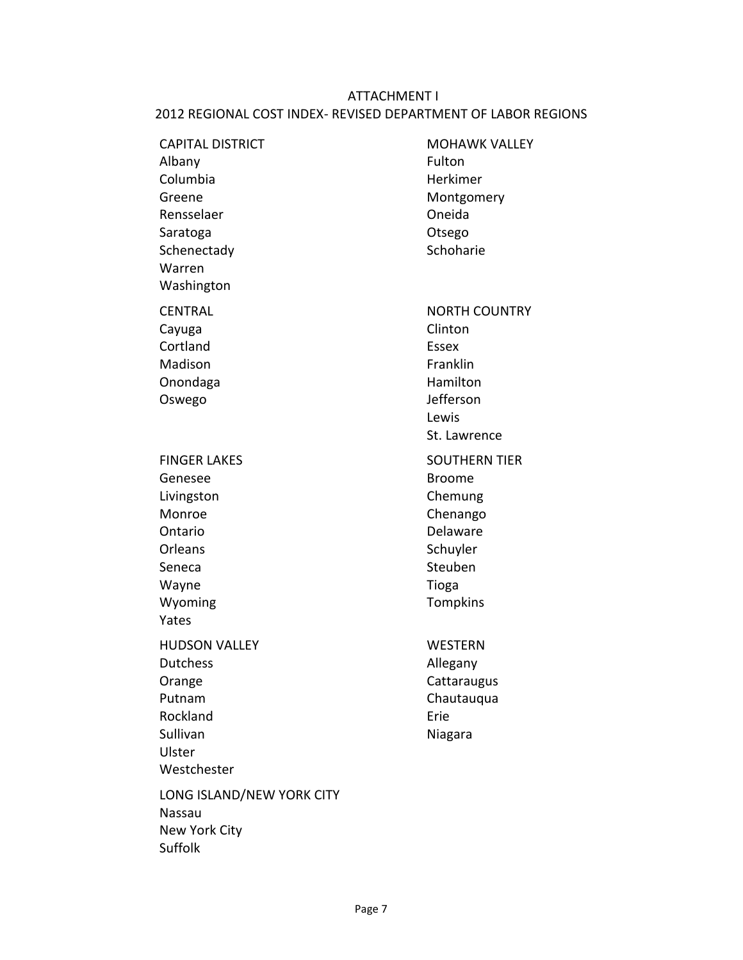# ATTACHMENT I 2012 REGIONAL COST INDEX- REVISED DEPARTMENT OF LABOR REGIONS

| <b>CAPITAL DISTRICT</b><br>Albany<br>Columbia<br>Greene<br>Rensselaer<br>Saratoga<br>Schenectady<br>Warren<br>Washington | <b>MOHAWK VALLEY</b><br>Fulton<br>Herkimer<br>Montgomery<br>Oneida<br>Otsego<br>Schoharie                            |
|--------------------------------------------------------------------------------------------------------------------------|----------------------------------------------------------------------------------------------------------------------|
| <b>CENTRAL</b><br>Cayuga<br>Cortland<br>Madison<br>Onondaga<br>Oswego                                                    | <b>NORTH COUNTRY</b><br>Clinton<br><b>Essex</b><br>Franklin<br>Hamilton<br>Jefferson<br>Lewis<br>St. Lawrence        |
| <b>FINGER LAKES</b><br>Genesee<br>Livingston<br>Monroe<br>Ontario<br>Orleans<br>Seneca<br>Wayne<br>Wyoming<br>Yates      | <b>SOUTHERN TIER</b><br><b>Broome</b><br>Chemung<br>Chenango<br>Delaware<br>Schuyler<br>Steuben<br>Tioga<br>Tompkins |
| <b>HUDSON VALLEY</b><br><b>Dutchess</b><br>Orange<br>Putnam<br>Rockland<br>Sullivan<br>Ulster<br>Westchester             | <b>WESTERN</b><br>Allegany<br>Cattaraugus<br>Chautauqua<br>Erie<br>Niagara                                           |
| LONG ISLAND/NEW YORK CITY<br><b>Nassau</b><br>New York City<br>Suffolk                                                   |                                                                                                                      |